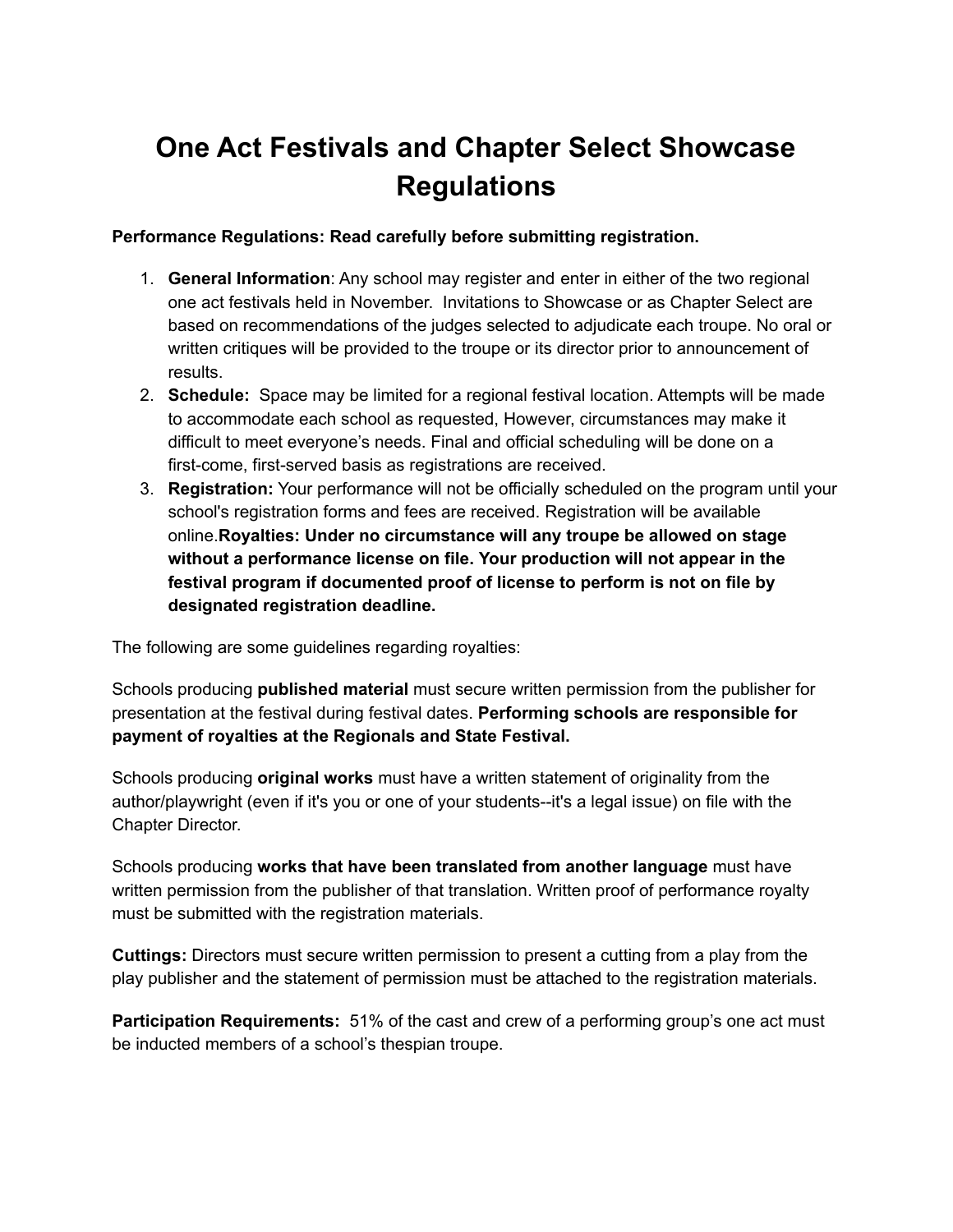## **One Act Festivals and Chapter Select Showcase Regulations**

## **Performance Regulations: Read carefully before submitting registration.**

- 1. **General Information**: Any school may register and enter in either of the two regional one act festivals held in November. Invitations to Showcase or as Chapter Select are based on recommendations of the judges selected to adjudicate each troupe. No oral or written critiques will be provided to the troupe or its director prior to announcement of results.
- 2. **Schedule:** Space may be limited for a regional festival location. Attempts will be made to accommodate each school as requested, However, circumstances may make it difficult to meet everyone's needs. Final and official scheduling will be done on a first-come, first-served basis as registrations are received.
- 3. **Registration:** Your performance will not be officially scheduled on the program until your school's registration forms and fees are received. Registration will be available online.**Royalties: Under no circumstance will any troupe be allowed on stage without a performance license on file. Your production will not appear in the festival program if documented proof of license to perform is not on file by designated registration deadline.**

The following are some guidelines regarding royalties:

Schools producing **published material** must secure written permission from the publisher for presentation at the festival during festival dates. **Performing schools are responsible for payment of royalties at the Regionals and State Festival.**

Schools producing **original works** must have a written statement of originality from the author/playwright (even if it's you or one of your students--it's a legal issue) on file with the Chapter Director.

Schools producing **works that have been translated from another language** must have written permission from the publisher of that translation. Written proof of performance royalty must be submitted with the registration materials.

**Cuttings:** Directors must secure written permission to present a cutting from a play from the play publisher and the statement of permission must be attached to the registration materials.

**Participation Requirements:** 51% of the cast and crew of a performing group's one act must be inducted members of a school's thespian troupe.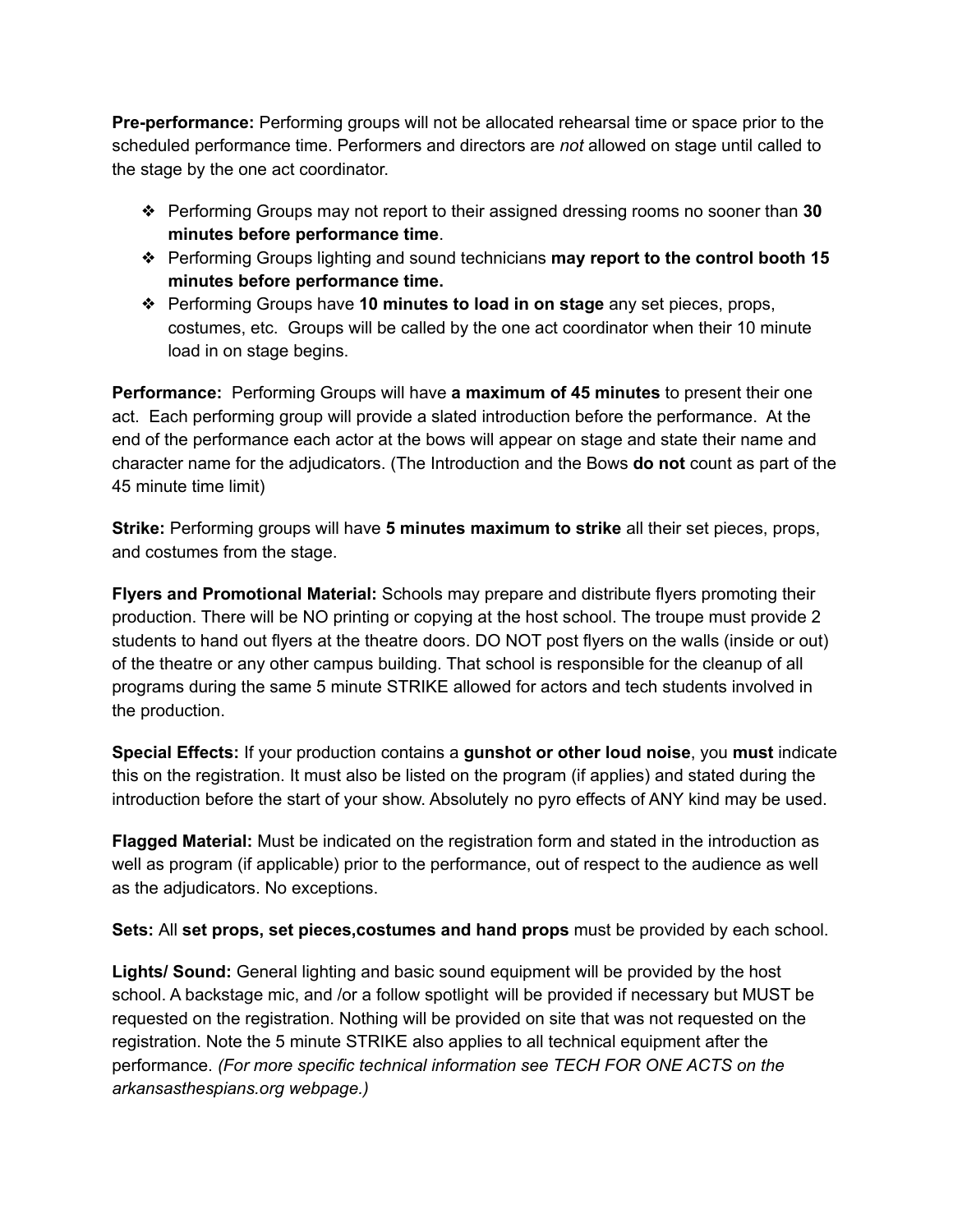**Pre-performance:** Performing groups will not be allocated rehearsal time or space prior to the scheduled performance time. Performers and directors are *not* allowed on stage until called to the stage by the one act coordinator.

- ❖ Performing Groups may not report to their assigned dressing rooms no sooner than **30 minutes before performance time**.
- ❖ Performing Groups lighting and sound technicians **may report to the control booth 15 minutes before performance time.**
- ❖ Performing Groups have **10 minutes to load in on stage** any set pieces, props, costumes, etc. Groups will be called by the one act coordinator when their 10 minute load in on stage begins.

**Performance:** Performing Groups will have **a maximum of 45 minutes** to present their one act. Each performing group will provide a slated introduction before the performance. At the end of the performance each actor at the bows will appear on stage and state their name and character name for the adjudicators. (The Introduction and the Bows **do not** count as part of the 45 minute time limit)

**Strike:** Performing groups will have **5 minutes maximum to strike** all their set pieces, props, and costumes from the stage.

**Flyers and Promotional Material:** Schools may prepare and distribute flyers promoting their production. There will be NO printing or copying at the host school. The troupe must provide 2 students to hand out flyers at the theatre doors. DO NOT post flyers on the walls (inside or out) of the theatre or any other campus building. That school is responsible for the cleanup of all programs during the same 5 minute STRIKE allowed for actors and tech students involved in the production.

**Special Effects:** If your production contains a **gunshot or other loud noise**, you **must** indicate this on the registration. It must also be listed on the program (if applies) and stated during the introduction before the start of your show. Absolutely no pyro effects of ANY kind may be used.

**Flagged Material:** Must be indicated on the registration form and stated in the introduction as well as program (if applicable) prior to the performance, out of respect to the audience as well as the adjudicators. No exceptions.

**Sets:** All **set props, set pieces,costumes and hand props** must be provided by each school.

**Lights/ Sound:** General lighting and basic sound equipment will be provided by the host school. A backstage mic, and /or a follow spotlight will be provided if necessary but MUST be requested on the registration. Nothing will be provided on site that was not requested on the registration. Note the 5 minute STRIKE also applies to all technical equipment after the performance. *(For more specific technical information see TECH FOR ONE ACTS on the arkansasthespians.org webpage.)*